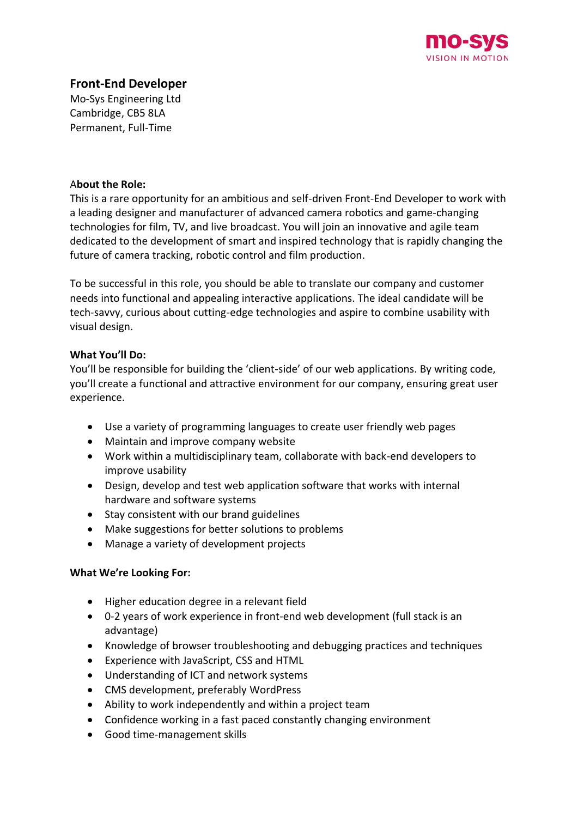

# **Front-End Developer**

Mo-Sys Engineering Ltd Cambridge, CB5 8LA Permanent, Full-Time

#### A**bout the Role:**

This is a rare opportunity for an ambitious and self-driven Front-End Developer to work with a leading designer and manufacturer of advanced camera robotics and game-changing technologies for film, TV, and live broadcast. You will join an innovative and agile team dedicated to the development of smart and inspired technology that is rapidly changing the future of camera tracking, robotic control and film production.

To be successful in this role, you should be able to translate our company and customer needs into functional and appealing interactive applications. The ideal candidate will be tech-savvy, curious about cutting-edge technologies and aspire to combine usability with visual design.

# **What You'll Do:**

You'll be responsible for building the 'client-side' of our web applications. By writing code, you'll create a functional and attractive environment for our company, ensuring great user experience.

- Use a variety of programming languages to create user friendly web pages
- Maintain and improve company website
- Work within a multidisciplinary team, collaborate with back-end developers to improve usability
- Design, develop and test web application software that works with internal hardware and software systems
- Stay consistent with our brand guidelines
- Make suggestions for better solutions to problems
- Manage a variety of development projects

#### **What We're Looking For:**

- Higher education degree in a relevant field
- 0-2 years of work experience in front-end web development (full stack is an advantage)
- Knowledge of browser troubleshooting and debugging practices and techniques
- Experience with JavaScript, CSS and HTML
- Understanding of ICT and network systems
- CMS development, preferably WordPress
- Ability to work independently and within a project team
- Confidence working in a fast paced constantly changing environment
- Good time-management skills